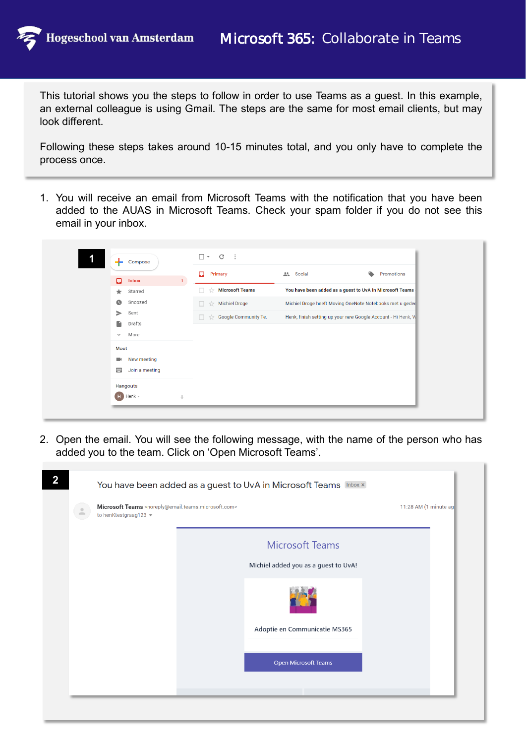This tutorial shows you the steps to follow in order to use Teams as a guest. In this example, an external colleague is using Gmail. The steps are the same for most email clients, but may look different.

Following these steps takes around 10-15 minutes total, and you only have to complete the process once.

1. You will receive an email from Microsoft Teams with the notification that you have been added to the AUAS in Microsoft Teams. Check your spam folder if you do not see this email in your inbox.

| Compose                                                      | $\square$ $\sim$ $\qquad$ $\qquad$ $\qquad$ $\qquad$ $\qquad$ $\qquad$ $\qquad$ $\qquad$ $\qquad$ $\qquad$ $\qquad$ $\qquad$ $\qquad$ $\qquad$ $\qquad$ $\qquad$ $\qquad$ $\qquad$ $\qquad$ $\qquad$ $\qquad$ $\qquad$ $\qquad$ $\qquad$ $\qquad$ $\qquad$ $\qquad$ $\qquad$ $\qquad$ $\qquad$ $\qquad$ $\qquad$ $\qquad$ $\qquad$ $\qquad$<br>$\cdot$ : |                                                              |            |
|--------------------------------------------------------------|----------------------------------------------------------------------------------------------------------------------------------------------------------------------------------------------------------------------------------------------------------------------------------------------------------------------------------------------------------|--------------------------------------------------------------|------------|
|                                                              | Ω<br>Primary                                                                                                                                                                                                                                                                                                                                             | A Social                                                     | Promotions |
| α<br><b>Inbox</b><br>1 <sup>1</sup><br>Starred<br>$\star$    | <b>Microsoft Teams</b><br>☆<br>n.                                                                                                                                                                                                                                                                                                                        | You have been added as a guest to UvA in Microsoft Teams     |            |
| Snoozed<br>$\bullet$                                         | <b>Michiel Droge</b><br>$\frac{1}{24}$<br>П.                                                                                                                                                                                                                                                                                                             | Michiel Droge heeft Moving OneNote Notebooks met u gedee     |            |
| Sent<br>⋗<br>R<br>Drafts                                     | Google Community Te.<br>$\overrightarrow{2x}$<br>п                                                                                                                                                                                                                                                                                                       | Henk, finish setting up your new Google Account - Hi Henk, W |            |
| More<br>$\checkmark$                                         |                                                                                                                                                                                                                                                                                                                                                          |                                                              |            |
| Meet<br>New meeting<br>$\blacksquare$<br>画<br>Join a meeting |                                                                                                                                                                                                                                                                                                                                                          |                                                              |            |
| Hangouts<br>Henk -<br>H)<br>$^{+}$                           |                                                                                                                                                                                                                                                                                                                                                          |                                                              |            |

2. Open the email. You will see the following message, with the name of the person who has added you to the team. Click on 'Open Microsoft Teams'.

| <b>Microsoft Teams</b>               |  |
|--------------------------------------|--|
| Michiel added you as a guest to UvA! |  |
|                                      |  |
| Adoptie en Communicatie MS365        |  |
| Open Microsoft Teams                 |  |
|                                      |  |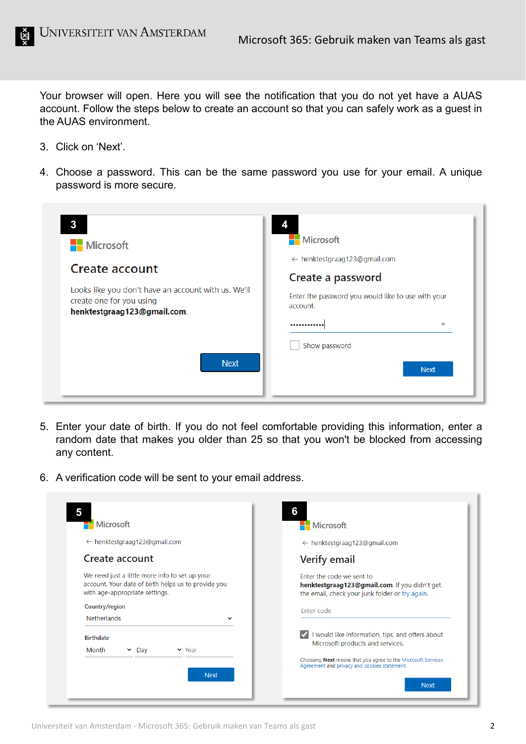Your browser will open. Here you will see the notification that you do not yet have a AUAS account. Follow the steps below to create an account so that you can safely work as a guest in the AUAS environment.

- 3. Click on 'Next'.
- 4. Choose a password. This can be the same password you use for your email. A unique password is more secure.

| $\mathbf{3}$<br>Microsoft                                                                                      | Microsoft                                                      |
|----------------------------------------------------------------------------------------------------------------|----------------------------------------------------------------|
|                                                                                                                | $\leftarrow$ henktestgraag123@gmail.com                        |
| Create account                                                                                                 | Create a password                                              |
| Looks like you don't have an account with us. We'll<br>create one for you using<br>henktestgraag123@gmail.com. | Enter the password you would like to use with your<br>account. |
|                                                                                                                | 同<br>                                                          |
|                                                                                                                | Show password                                                  |
| <b>Next</b>                                                                                                    | <b>Next</b>                                                    |

- 5. Enter your date of birth. If you do not feel comfortable providing this information, enter a random date that makes you older than 25 so that you won't be blocked from accessing any content.
- 6. A verification code will be sent to your email address.

| Microsoft                                                                                                                               | Microsoft                                                                                                                     |
|-----------------------------------------------------------------------------------------------------------------------------------------|-------------------------------------------------------------------------------------------------------------------------------|
| $\leftarrow$ henktestgraag123@gmail.com                                                                                                 | $\leftarrow$ henktestgraag123@gmail.com                                                                                       |
| Create account                                                                                                                          | <b>Verify email</b>                                                                                                           |
| We need just a little more info to set up your<br>account. Your date of birth helps us to provide you<br>with age-appropriate settings. | Enter the code we sent to<br>henktestgraag123@gmail.com. If you didn't get<br>the email, check your junk folder or try again. |
| Country/region<br><b>Netherlands</b>                                                                                                    | Enter code                                                                                                                    |
| <b>Birthdate</b><br>Month<br>$\sim$ Day<br>$\vee$ Year                                                                                  | I would like information, tips, and offers about<br>Microsoft products and services.                                          |
|                                                                                                                                         | Choosing Next means that you agree to the Microsoft Services<br>Agreement and privacy and cookies statement.                  |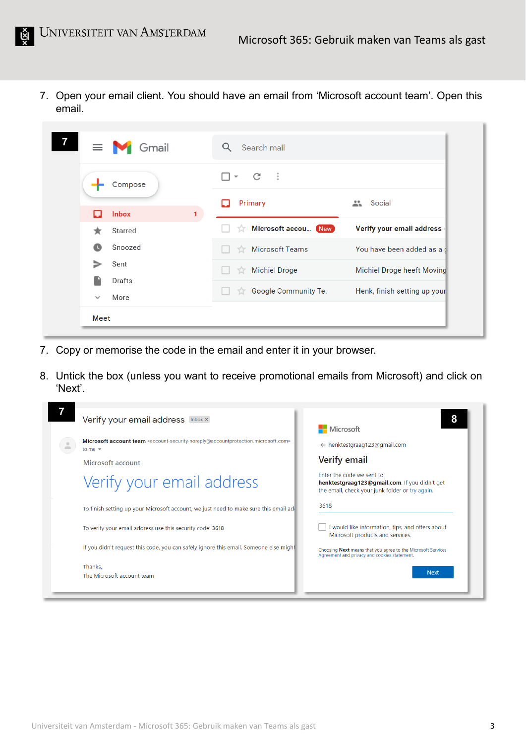7. Open your email client. You should have an email from 'Microsoft account team'. Open this email.

| $\equiv$ $\blacksquare$ Gmail | Search mail<br>Q                                           |                              |
|-------------------------------|------------------------------------------------------------|------------------------------|
| Compose                       | $\cdot$ :<br>C<br>$\overline{\phantom{a}}$<br>$\mathbf{1}$ |                              |
| <b>Inbox</b><br>L             | Primary                                                    | Social<br>÷                  |
| Starred                       | Microsoft accou New<br>53                                  | Verify your email address    |
| Snoozed<br>œ                  | <b>Microsoft Teams</b>                                     | You have been added as a d   |
| Sent<br>Drafts                | <b>Michiel Droge</b><br>53                                 | Michiel Droge heeft Moving   |
| More<br>$\checkmark$          | Google Community Te.<br>TJ.                                | Henk, finish setting up your |
| Meet                          |                                                            |                              |

- 7. Copy or memorise the code in the email and enter it in your browser.
- 8. Untick the box (unless you want to receive promotional emails from Microsoft) and click on 'Next'.

| Verify your email address [Inbox x]                                                                                                                                                | 8                                                                                                                             |
|------------------------------------------------------------------------------------------------------------------------------------------------------------------------------------|-------------------------------------------------------------------------------------------------------------------------------|
|                                                                                                                                                                                    | <b>Nicrosoft</b>                                                                                                              |
| Microsoft account team <account-security-noreply@accountprotection.microsoft.com><br/>≗<br/>to me <math>\sqrt{ }</math></account-security-noreply@accountprotection.microsoft.com> | $\leftarrow$ henktestgraag123@gmail.com                                                                                       |
| Microsoft account                                                                                                                                                                  | Verify email                                                                                                                  |
| Verify your email address                                                                                                                                                          | Enter the code we sent to<br>henktestgraag123@gmail.com. If you didn't get<br>the email, check your junk folder or try again. |
| To finish setting up your Microsoft account, we just need to make sure this email add                                                                                              | 3618                                                                                                                          |
| To verify your email address use this security code: 3618                                                                                                                          | I would like information, tips, and offers about<br>Microsoft products and services.                                          |
| If you didn't request this code, you can safely ignore this email. Someone else might                                                                                              | Choosing Next means that you agree to the Microsoft Services<br>Agreement and privacy and cookies statement.                  |
| Thanks,                                                                                                                                                                            | <b>Next</b>                                                                                                                   |
| The Microsoft account team                                                                                                                                                         |                                                                                                                               |
|                                                                                                                                                                                    |                                                                                                                               |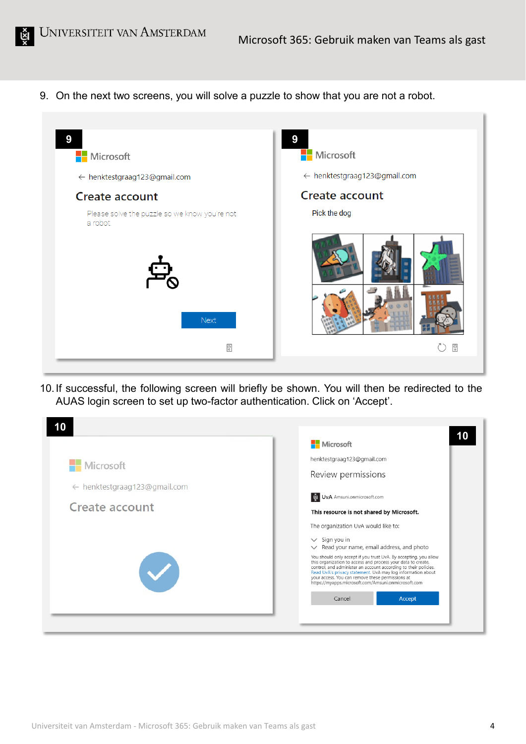9. On the next two screens, you will solve a puzzle to show that you are not a robot.



10.If successful, the following screen will briefly be shown. You will then be redirected to the AUAS login screen to set up two-factor authentication. Click on 'Accept'.

|                                                | Microsoft                                                                                                                                                                                                                                                                                                 |
|------------------------------------------------|-----------------------------------------------------------------------------------------------------------------------------------------------------------------------------------------------------------------------------------------------------------------------------------------------------------|
| Microsoft                                      | henktestgraag123@gmail.com                                                                                                                                                                                                                                                                                |
|                                                | Review permissions                                                                                                                                                                                                                                                                                        |
| ← henktestgraag123@gmail.com<br>Create account | UvA Amsuni.onmicrosoft.com                                                                                                                                                                                                                                                                                |
|                                                | This resource is not shared by Microsoft.                                                                                                                                                                                                                                                                 |
|                                                | The organization UvA would like to:                                                                                                                                                                                                                                                                       |
|                                                | $\vee$ Sign you in                                                                                                                                                                                                                                                                                        |
|                                                | $\vee$ Read your name, email address, and photo<br>You should only accept if you trust UvA. By accepting, you allow                                                                                                                                                                                       |
|                                                | this organization to access and process your data to create,<br>control, and administer an account according to their policies.<br>Read UvA's privacy statement. UvA may log information about<br>your access. You can remove these permissions at<br>https://myapps.microsoft.com/Amsuni.onmicrosoft.com |
|                                                | Accept<br>Cancel                                                                                                                                                                                                                                                                                          |
|                                                |                                                                                                                                                                                                                                                                                                           |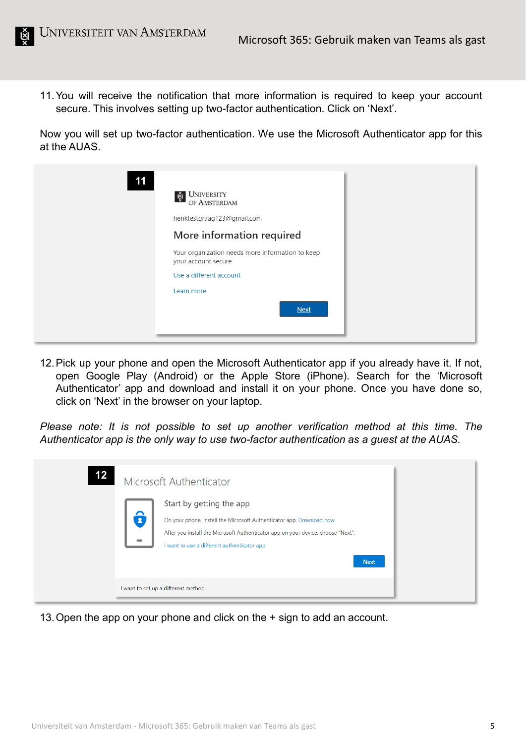11.You will receive the notification that more information is required to keep your account secure. This involves setting up two-factor authentication. Click on 'Next'.

Now you will set up two-factor authentication. We use the Microsoft Authenticator app for this at the AUAS.

| 11 |                                                                         |  |
|----|-------------------------------------------------------------------------|--|
|    | <b>UNIVERSITY</b><br>।<br>एँ<br>OF AMSTERDAM                            |  |
|    | henktestgraag123@gmail.com                                              |  |
|    | More information required                                               |  |
|    | Your organization needs more information to keep<br>your account secure |  |
|    | Use a different account                                                 |  |
|    | Learn more                                                              |  |
|    | <b>Next</b>                                                             |  |
|    |                                                                         |  |

12.Pick up your phone and open the Microsoft Authenticator app if you already have it. If not, open Google Play (Android) or the Apple Store (iPhone). Search for the 'Microsoft Authenticator' app and download and install it on your phone. Once you have done so, click on 'Next' in the browser on your laptop.

*Please note: It is not possible to set up another verification method at this time. The Authenticator app is the only way to use two-factor authentication as a guest at the AUAS.*

| 12 | Microsoft Authenticator                                                                                                                                                                                                                            |
|----|----------------------------------------------------------------------------------------------------------------------------------------------------------------------------------------------------------------------------------------------------|
|    | Start by getting the app<br>On your phone, install the Microsoft Authenticator app. Download now<br>After you install the Microsoft Authenticator app on your device, choose "Next".<br>I want to use a different authenticator app<br><b>Next</b> |
|    | I want to set up a different method                                                                                                                                                                                                                |

13.Open the app on your phone and click on the + sign to add an account.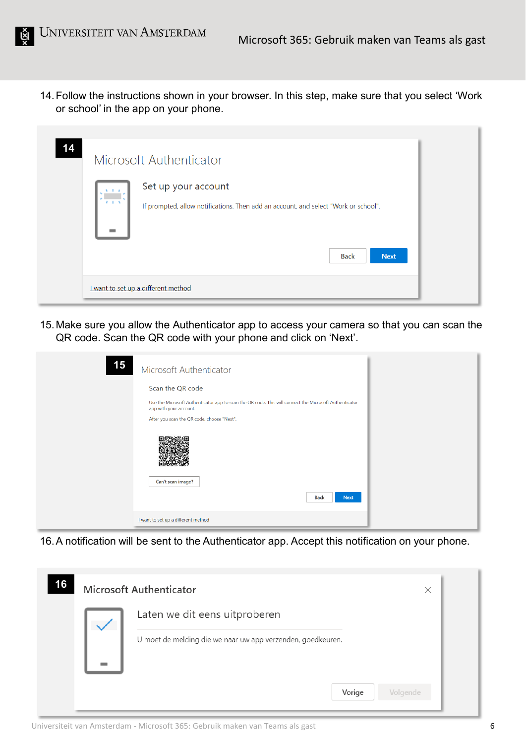14.Follow the instructions shown in your browser. In this step, make sure that you select 'Work or school' in the app on your phone.

| 14 | Microsoft Authenticator                                                                                    |  |
|----|------------------------------------------------------------------------------------------------------------|--|
|    | Set up your account<br>If prompted, allow notifications. Then add an account, and select "Work or school". |  |
|    | <b>Next</b><br><b>Back</b><br>I want to set up a different method                                          |  |

15.Make sure you allow the Authenticator app to access your camera so that you can scan the QR code. Scan the QR code with your phone and click on 'Next'.

| 15 | Microsoft Authenticator                                                                                                          |
|----|----------------------------------------------------------------------------------------------------------------------------------|
|    | Scan the QR code                                                                                                                 |
|    | Use the Microsoft Authenticator app to scan the QR code. This will connect the Microsoft Authenticator<br>app with your account. |
|    | After you scan the QR code, choose "Next".                                                                                       |
|    |                                                                                                                                  |
|    | Can't scan image?                                                                                                                |
|    | <b>Back</b><br><b>Next</b>                                                                                                       |
|    | I want to set up a different method                                                                                              |

16.A notification will be sent to the Authenticator app. Accept this notification on your phone.

| 16 | <b>Microsoft Authenticator</b>                              | × |
|----|-------------------------------------------------------------|---|
|    | Laten we dit eens uitproberen                               |   |
|    | U moet de melding die we naar uw app verzenden, goedkeuren. |   |
|    | Vorige<br>Volgende                                          |   |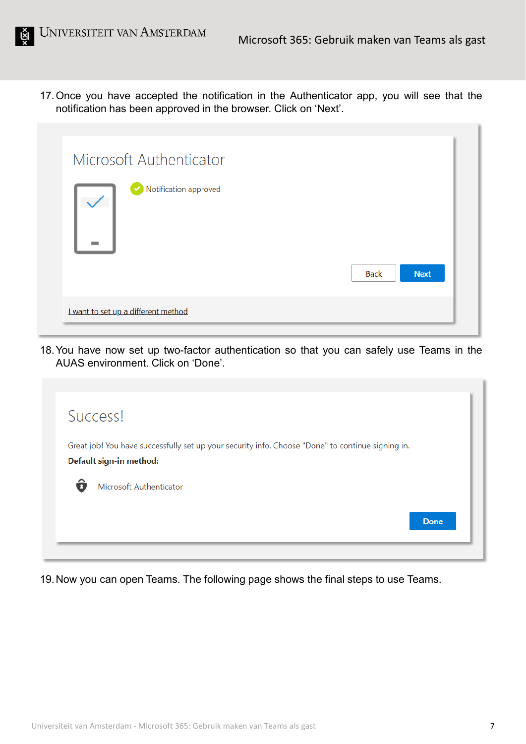17.Once you have accepted the notification in the Authenticator app, you will see that the notification has been approved in the browser. Click on 'Next'.

| Notification approved | <b>Back</b><br><b>Next</b> |
|-----------------------|----------------------------|
|-----------------------|----------------------------|

18.You have now set up two-factor authentication so that you can safely use Teams in the AUAS environment. Click on 'Done'.

|   | Success!                                                                                                                     |             |
|---|------------------------------------------------------------------------------------------------------------------------------|-------------|
|   | Great job! You have successfully set up your security info. Choose "Done" to continue signing in.<br>Default sign-in method: |             |
| ô | Microsoft Authenticator                                                                                                      |             |
|   |                                                                                                                              | <b>Done</b> |

19.Now you can open Teams. The following page shows the final steps to use Teams.